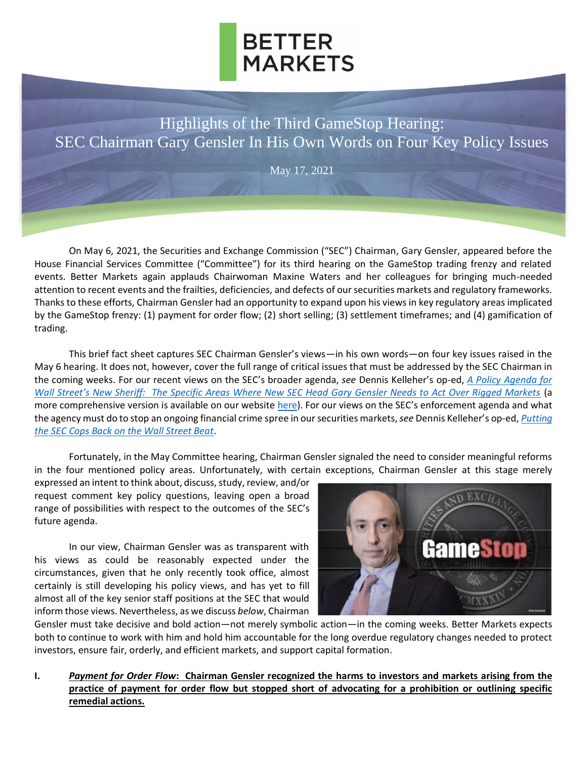

Highlights of the Third GameStop Hearing: SEC Chairman Gary Gensler In His Own Words on Four Key Policy Issues

May 17, 2021

On May 6, 2021, the Securities and Exchange Commission ("SEC") Chairman, Gary Gensler, appeared before the House Financial Services Committee ("Committee") for its third hearing on the GameStop trading frenzy and related events. Better Markets again applauds Chairwoman Maxine Waters and her colleagues for bringing much-needed attention to recent events and the frailties, deficiencies, and defects of our securities markets and regulatory frameworks. Thanks to these efforts, Chairman Gensler had an opportunity to expand upon his views in key regulatory areas implicated by the GameStop frenzy: (1) payment for order flow; (2) short selling; (3) settlement timeframes; and (4) gamification of trading.

This brief fact sheet captures SEC Chairman Gensler's views—in his own words—on four key issues raised in the May 6 hearing. It does not, however, cover the full range of critical issues that must be addressed by the SEC Chairman in the coming weeks. For our recent views on the SEC's broader agenda, *see* Dennis Kelleher's op-ed, *[A Policy Agenda for](https://www.ft.com/content/063acde7-a977-4d28-a3ae-27dedfd69a33)  [Wall Street's New Sheriff: The Specific Areas Where New SEC Head Gary Gensler Needs to Act Over Rigged Markets](https://www.ft.com/content/063acde7-a977-4d28-a3ae-27dedfd69a33)* (a more comprehensive version is available on our website [here\)](https://bettermarkets.com/newsroom/agenda-new-sec-chairman-gary-gensler). For our views on the SEC's enforcement agenda and what the agency must do to stop an ongoing financial crime spree in our securities markets,*see* Dennis Kelleher's op-ed, *[Putting](https://thehill.com/opinion/finance/551408-putting-the-sec-cops-back-on-the-wall-street-beat?rnd=1619997929)  [the SEC Cops Back on the Wall Street Beat](https://thehill.com/opinion/finance/551408-putting-the-sec-cops-back-on-the-wall-street-beat?rnd=1619997929)*.

Fortunately, in the May Committee hearing, Chairman Gensler signaled the need to consider meaningful reforms in the four mentioned policy areas. Unfortunately, with certain exceptions, Chairman Gensler at this stage merely

expressed an intent to think about, discuss, study, review, and/or request comment key policy questions, leaving open a broad range of possibilities with respect to the outcomes of the SEC's future agenda.

In our view, Chairman Gensler was as transparent with his views as could be reasonably expected under the circumstances, given that he only recently took office, almost certainly is still developing his policy views, and has yet to fill almost all of the key senior staff positions at the SEC that would inform those views. Nevertheless, as we discuss *below*, Chairman



Gensler must take decisive and bold action—not merely symbolic action—in the coming weeks. Better Markets expects both to continue to work with him and hold him accountable for the long overdue regulatory changes needed to protect investors, ensure fair, orderly, and efficient markets, and support capital formation.

**I.** *Payment for Order Flow***: Chairman Gensler recognized the harms to investors and markets arising from the practice of payment for order flow but stopped short of advocating for a prohibition or outlining specific remedial actions.**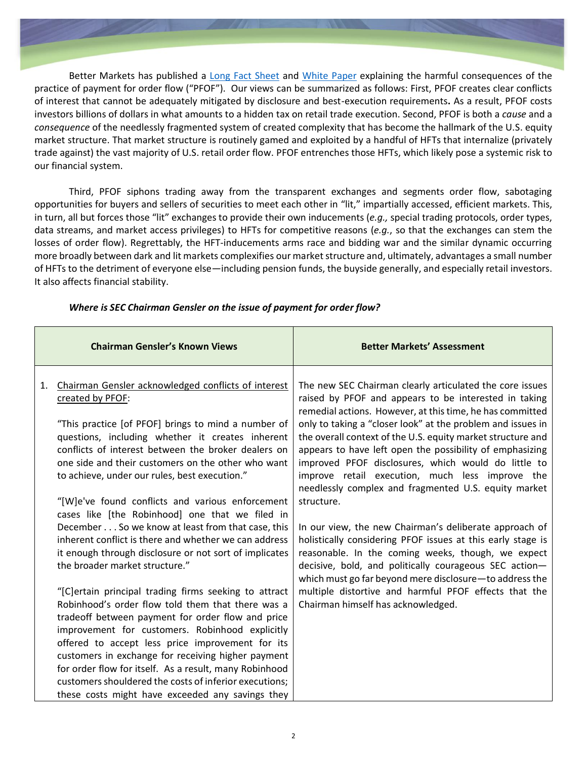Better Markets has published a [Long Fact Sheet](https://bettermarkets.com/sites/default/files/documents/Better_Markets_Payment_for_Order_Flow_Long_02-21-2021.pdf) and [White Paper](https://bettermarkets.com/sites/default/files/documents/Better_Markets_White_Paper_Select_Issues_Raised_GameStop_03-26-2021.pdf) explaining the harmful consequences of the practice of payment for order flow ("PFOF"). Our views can be summarized as follows: First, PFOF creates clear conflicts of interest that cannot be adequately mitigated by disclosure and best-execution requirements**.** As a result, PFOF costs investors billions of dollars in what amounts to a hidden tax on retail trade execution. Second, PFOF is both a *cause* and a *consequence* of the needlessly fragmented system of created complexity that has become the hallmark of the U.S. equity market structure. That market structure is routinely gamed and exploited by a handful of HFTs that internalize (privately trade against) the vast majority of U.S. retail order flow. PFOF entrenches those HFTs, which likely pose a systemic risk to our financial system.

Third, PFOF siphons trading away from the transparent exchanges and segments order flow, sabotaging opportunities for buyers and sellers of securities to meet each other in "lit," impartially accessed, efficient markets. This, in turn, all but forces those "lit" exchanges to provide their own inducements (*e.g.,* special trading protocols, order types, data streams, and market access privileges) to HFTs for competitive reasons (*e.g.*, so that the exchanges can stem the losses of order flow). Regrettably, the HFT-inducements arms race and bidding war and the similar dynamic occurring more broadly between dark and lit markets complexifies our market structure and, ultimately, advantages a small number of HFTs to the detriment of everyone else—including pension funds, the buyside generally, and especially retail investors. It also affects financial stability.

|    | <b>Chairman Gensler's Known Views</b>                                                                                                                                                                                                                                                                                                                           | <b>Better Markets' Assessment</b>                                                                                                                                                                                                                                                                                                                                                                                                                                                  |
|----|-----------------------------------------------------------------------------------------------------------------------------------------------------------------------------------------------------------------------------------------------------------------------------------------------------------------------------------------------------------------|------------------------------------------------------------------------------------------------------------------------------------------------------------------------------------------------------------------------------------------------------------------------------------------------------------------------------------------------------------------------------------------------------------------------------------------------------------------------------------|
| 1. | Chairman Gensler acknowledged conflicts of interest<br>created by PFOF:<br>"This practice [of PFOF] brings to mind a number of<br>questions, including whether it creates inherent<br>conflicts of interest between the broker dealers on<br>one side and their customers on the other who want<br>to achieve, under our rules, best execution."                | The new SEC Chairman clearly articulated the core issues<br>raised by PFOF and appears to be interested in taking<br>remedial actions. However, at this time, he has committed<br>only to taking a "closer look" at the problem and issues in<br>the overall context of the U.S. equity market structure and<br>appears to have left open the possibility of emphasizing<br>improved PFOF disclosures, which would do little to<br>improve retail execution, much less improve the |
|    | "[W]e've found conflicts and various enforcement<br>cases like [the Robinhood] one that we filed in<br>December So we know at least from that case, this<br>inherent conflict is there and whether we can address<br>it enough through disclosure or not sort of implicates                                                                                     | needlessly complex and fragmented U.S. equity market<br>structure.<br>In our view, the new Chairman's deliberate approach of<br>holistically considering PFOF issues at this early stage is<br>reasonable. In the coming weeks, though, we expect                                                                                                                                                                                                                                  |
|    | the broader market structure."<br>"[C] ertain principal trading firms seeking to attract<br>Robinhood's order flow told them that there was a<br>tradeoff between payment for order flow and price<br>improvement for customers. Robinhood explicitly<br>offered to accept less price improvement for its<br>customers in exchange for receiving higher payment | decisive, bold, and politically courageous SEC action-<br>which must go far beyond mere disclosure-to address the<br>multiple distortive and harmful PFOF effects that the<br>Chairman himself has acknowledged.                                                                                                                                                                                                                                                                   |
|    | for order flow for itself. As a result, many Robinhood<br>customers shouldered the costs of inferior executions;<br>these costs might have exceeded any savings they                                                                                                                                                                                            |                                                                                                                                                                                                                                                                                                                                                                                                                                                                                    |

#### *Where is SEC Chairman Gensler on the issue of payment for order flow?*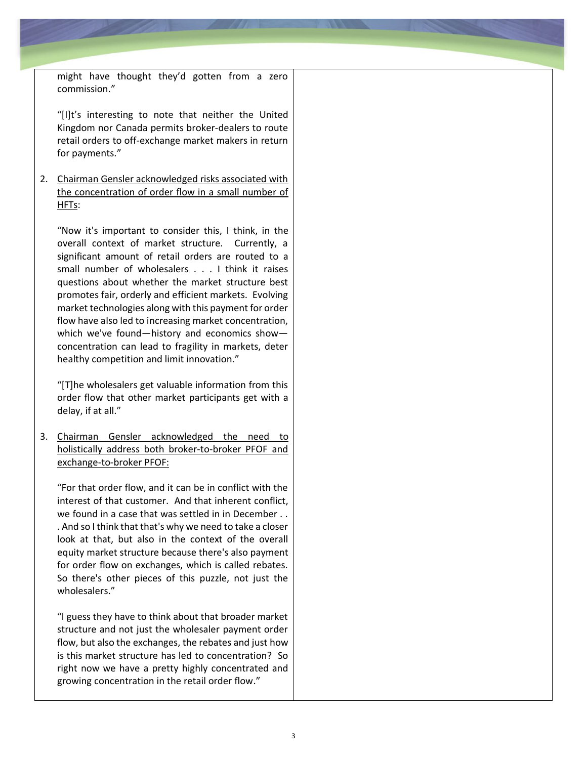might have thought they'd gotten from a zero commission."

"[I]t's interesting to note that neither the United Kingdom nor Canada permits broker-dealers to route retail orders to off-exchange market makers in return for payments."

2. Chairman Gensler acknowledged risks associated with the concentration of order flow in a small number of HFTs:

"Now it's important to consider this, I think, in the overall context of market structure. Currently, a significant amount of retail orders are routed to a small number of wholesalers . . . I think it raises questions about whether the market structure best promotes fair, orderly and efficient markets. Evolving market technologies along with this payment for order flow have also led to increasing market concentration, which we've found—history and economics show concentration can lead to fragility in markets, deter healthy competition and limit innovation."

"[T]he wholesalers get valuable information from this order flow that other market participants get with a delay, if at all."

3. Chairman Gensler acknowledged the need to holistically address both broker-to-broker PFOF and exchange-to-broker PFOF:

"For that order flow, and it can be in conflict with the interest of that customer. And that inherent conflict, we found in a case that was settled in in December . . . And so I think that that's why we need to take a closer look at that, but also in the context of the overall equity market structure because there's also payment for order flow on exchanges, which is called rebates. So there's other pieces of this puzzle, not just the wholesalers."

"I guess they have to think about that broader market structure and not just the wholesaler payment order flow, but also the exchanges, the rebates and just how is this market structure has led to concentration? So right now we have a pretty highly concentrated and growing concentration in the retail order flow."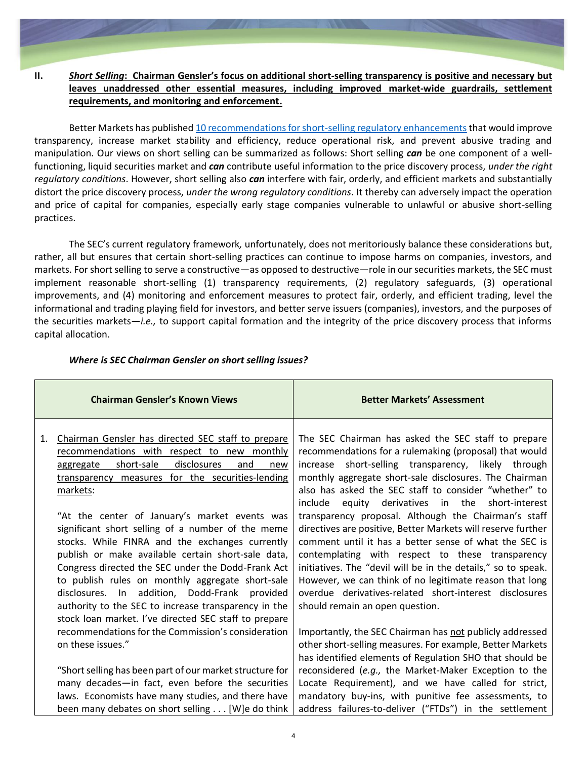# **II.** *Short Selling***: Chairman Gensler's focus on additional short-selling transparency is positive and necessary but leaves unaddressed other essential measures, including improved market-wide guardrails, settlement requirements, and monitoring and enforcement.**

Better Markets has published [10 recommendations for short-selling regulatory enhancements](https://bettermarkets.com/sites/default/files/Short%20Selling%20-%2010%20Recommendations%20for%20Improving%20the%20SEC’s%20Regulatory%20Framework.pdf) that would improve transparency, increase market stability and efficiency, reduce operational risk, and prevent abusive trading and manipulation. Our views on short selling can be summarized as follows: Short selling *can* be one component of a wellfunctioning, liquid securities market and *can* contribute useful information to the price discovery process, *under the right regulatory conditions*. However, short selling also *can* interfere with fair, orderly, and efficient markets and substantially distort the price discovery process, *under the wrong regulatory conditions*. It thereby can adversely impact the operation and price of capital for companies, especially early stage companies vulnerable to unlawful or abusive short-selling practices.

The SEC's current regulatory framework*,* unfortunately, does not meritoriously balance these considerations but, rather, all but ensures that certain short-selling practices can continue to impose harms on companies, investors, and markets. For short selling to serve a constructive—as opposed to destructive—role in our securities markets, the SEC must implement reasonable short-selling (1) transparency requirements, (2) regulatory safeguards, (3) operational improvements, and (4) monitoring and enforcement measures to protect fair, orderly, and efficient trading, level the informational and trading playing field for investors, and better serve issuers (companies), investors, and the purposes of the securities markets—*i.e.,* to support capital formation and the integrity of the price discovery process that informs capital allocation.

|    | <b>Chairman Gensler's Known Views</b>                                                                                                                                                                                                                                                                                                                                                                                                  | <b>Better Markets' Assessment</b>                                                                                                                                                                                                                                                                                                                                                                      |
|----|----------------------------------------------------------------------------------------------------------------------------------------------------------------------------------------------------------------------------------------------------------------------------------------------------------------------------------------------------------------------------------------------------------------------------------------|--------------------------------------------------------------------------------------------------------------------------------------------------------------------------------------------------------------------------------------------------------------------------------------------------------------------------------------------------------------------------------------------------------|
| 1. | Chairman Gensler has directed SEC staff to prepare<br>recommendations with respect to new monthly<br>disclosures<br>short-sale<br>aggregate<br>and<br>new<br>transparency measures for the securities-lending<br>markets:<br>"At the center of January's market events was                                                                                                                                                             | The SEC Chairman has asked the SEC staff to prepare<br>recommendations for a rulemaking (proposal) that would<br>short-selling transparency, likely through<br>increase<br>monthly aggregate short-sale disclosures. The Chairman<br>also has asked the SEC staff to consider "whether" to<br>include equity derivatives in the short-interest<br>transparency proposal. Although the Chairman's staff |
|    | significant short selling of a number of the meme<br>stocks. While FINRA and the exchanges currently<br>publish or make available certain short-sale data,<br>Congress directed the SEC under the Dodd-Frank Act<br>to publish rules on monthly aggregate short-sale<br>disclosures. In addition, Dodd-Frank provided<br>authority to the SEC to increase transparency in the<br>stock loan market. I've directed SEC staff to prepare | directives are positive, Better Markets will reserve further<br>comment until it has a better sense of what the SEC is<br>contemplating with respect to these transparency<br>initiatives. The "devil will be in the details," so to speak.<br>However, we can think of no legitimate reason that long<br>overdue derivatives-related short-interest disclosures<br>should remain an open question.    |
|    | recommendations for the Commission's consideration<br>on these issues."                                                                                                                                                                                                                                                                                                                                                                | Importantly, the SEC Chairman has not publicly addressed<br>other short-selling measures. For example, Better Markets<br>has identified elements of Regulation SHO that should be                                                                                                                                                                                                                      |
|    | "Short selling has been part of our market structure for<br>many decades-in fact, even before the securities<br>laws. Economists have many studies, and there have<br>been many debates on short selling [W]e do think                                                                                                                                                                                                                 | reconsidered (e.g., the Market-Maker Exception to the<br>Locate Requirement), and we have called for strict,<br>mandatory buy-ins, with punitive fee assessments, to<br>address failures-to-deliver ("FTDs") in the settlement                                                                                                                                                                         |

### *Where is SEC Chairman Gensler on short selling issues?*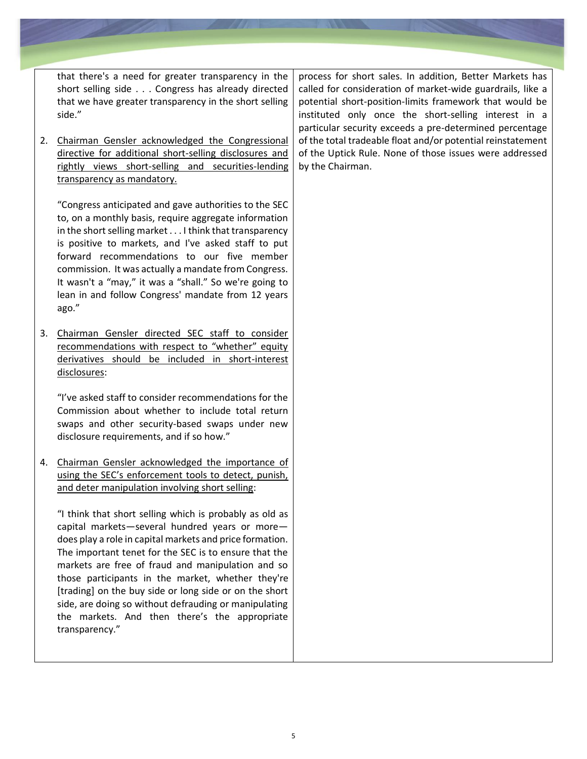that there's a need for greater transparency in the short selling side . . . Congress has already directed that we have greater transparency in the short selling side."

2. Chairman Gensler acknowledged the Congressional directive for additional short-selling disclosures and rightly views short-selling and securities-lending transparency as mandatory.

"Congress anticipated and gave authorities to the SEC to, on a monthly basis, require aggregate information in the short selling market . . . I think that transparency is positive to markets, and I've asked staff to put forward recommendations to our five member commission. It was actually a mandate from Congress. It wasn't a "may," it was a "shall." So we're going to lean in and follow Congress' mandate from 12 years ago."

3. Chairman Gensler directed SEC staff to consider recommendations with respect to "whether" equity derivatives should be included in short-interest disclosures:

"I've asked staff to consider recommendations for the Commission about whether to include total return swaps and other security-based swaps under new disclosure requirements, and if so how."

4. Chairman Gensler acknowledged the importance of using the SEC's enforcement tools to detect, punish, and deter manipulation involving short selling:

"I think that short selling which is probably as old as capital markets—several hundred years or more does play a role in capital markets and price formation. The important tenet for the SEC is to ensure that the markets are free of fraud and manipulation and so those participants in the market, whether they're [trading] on the buy side or long side or on the short side, are doing so without defrauding or manipulating the markets. And then there's the appropriate transparency."

process for short sales. In addition, Better Markets has called for consideration of market-wide guardrails, like a potential short-position-limits framework that would be instituted only once the short-selling interest in a particular security exceeds a pre-determined percentage of the total tradeable float and/or potential reinstatement of the Uptick Rule. None of those issues were addressed by the Chairman.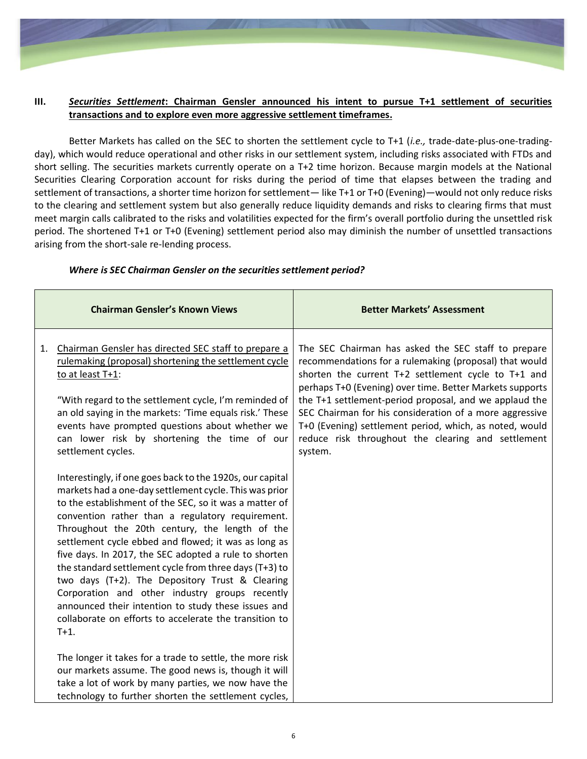

### **III.** *Securities Settlement***: Chairman Gensler announced his intent to pursue T+1 settlement of securities transactions and to explore even more aggressive settlement timeframes.**

Better Markets has called on the SEC to shorten the settlement cycle to T+1 (*i.e.,* trade-date-plus-one-tradingday), which would reduce operational and other risks in our settlement system, including risks associated with FTDs and short selling. The securities markets currently operate on a T+2 time horizon. Because margin models at the National Securities Clearing Corporation account for risks during the period of time that elapses between the trading and settlement of transactions, a shorter time horizon for settlement— like T+1 or T+0 (Evening)—would not only reduce risks to the clearing and settlement system but also generally reduce liquidity demands and risks to clearing firms that must meet margin calls calibrated to the risks and volatilities expected for the firm's overall portfolio during the unsettled risk period. The shortened T+1 or T+0 (Evening) settlement period also may diminish the number of unsettled transactions arising from the short-sale re-lending process.

|    | <b>Chairman Gensler's Known Views</b>                                                                                                                                                                                                                                                                                                                                                                                                                                                                                                                                                                                                                                                           | <b>Better Markets' Assessment</b>                                                                                                                                                                                                                                                                                                                                                                                                                                                 |
|----|-------------------------------------------------------------------------------------------------------------------------------------------------------------------------------------------------------------------------------------------------------------------------------------------------------------------------------------------------------------------------------------------------------------------------------------------------------------------------------------------------------------------------------------------------------------------------------------------------------------------------------------------------------------------------------------------------|-----------------------------------------------------------------------------------------------------------------------------------------------------------------------------------------------------------------------------------------------------------------------------------------------------------------------------------------------------------------------------------------------------------------------------------------------------------------------------------|
| 1. | Chairman Gensler has directed SEC staff to prepare a<br>rulemaking (proposal) shortening the settlement cycle<br>to at least T+1:<br>"With regard to the settlement cycle, I'm reminded of<br>an old saying in the markets: 'Time equals risk.' These<br>events have prompted questions about whether we<br>can lower risk by shortening the time of our<br>settlement cycles.                                                                                                                                                                                                                                                                                                                  | The SEC Chairman has asked the SEC staff to prepare<br>recommendations for a rulemaking (proposal) that would<br>shorten the current T+2 settlement cycle to T+1 and<br>perhaps T+0 (Evening) over time. Better Markets supports<br>the T+1 settlement-period proposal, and we applaud the<br>SEC Chairman for his consideration of a more aggressive<br>T+0 (Evening) settlement period, which, as noted, would<br>reduce risk throughout the clearing and settlement<br>system. |
|    | Interestingly, if one goes back to the 1920s, our capital<br>markets had a one-day settlement cycle. This was prior<br>to the establishment of the SEC, so it was a matter of<br>convention rather than a regulatory requirement.<br>Throughout the 20th century, the length of the<br>settlement cycle ebbed and flowed; it was as long as<br>five days. In 2017, the SEC adopted a rule to shorten<br>the standard settlement cycle from three days (T+3) to<br>two days (T+2). The Depository Trust & Clearing<br>Corporation and other industry groups recently<br>announced their intention to study these issues and<br>collaborate on efforts to accelerate the transition to<br>$T+1$ . |                                                                                                                                                                                                                                                                                                                                                                                                                                                                                   |
|    | The longer it takes for a trade to settle, the more risk<br>our markets assume. The good news is, though it will<br>take a lot of work by many parties, we now have the<br>technology to further shorten the settlement cycles,                                                                                                                                                                                                                                                                                                                                                                                                                                                                 |                                                                                                                                                                                                                                                                                                                                                                                                                                                                                   |

### *Where is SEC Chairman Gensler on the securities settlement period?*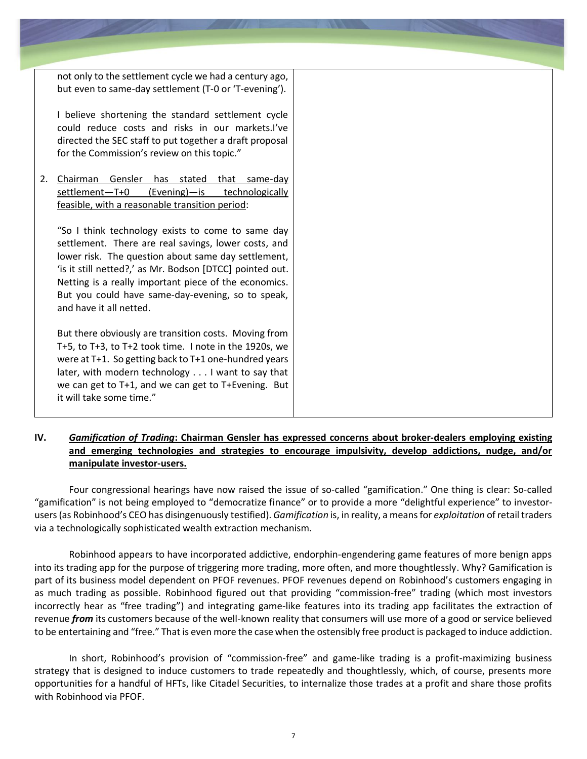|    | not only to the settlement cycle we had a century ago,<br>but even to same-day settlement (T-0 or 'T-evening').                                                                                                                                                                                                                                                       |
|----|-----------------------------------------------------------------------------------------------------------------------------------------------------------------------------------------------------------------------------------------------------------------------------------------------------------------------------------------------------------------------|
|    | I believe shortening the standard settlement cycle<br>could reduce costs and risks in our markets.I've<br>directed the SEC staff to put together a draft proposal<br>for the Commission's review on this topic."                                                                                                                                                      |
| 2. | Chairman<br>Gensler<br>has stated that same-day<br>settlement-T+0<br>(Evening)-is<br>technologically<br>feasible, with a reasonable transition period:                                                                                                                                                                                                                |
|    | "So I think technology exists to come to same day<br>settlement. There are real savings, lower costs, and<br>lower risk. The question about same day settlement,<br>'is it still netted?,' as Mr. Bodson [DTCC] pointed out.<br>Netting is a really important piece of the economics.<br>But you could have same-day-evening, so to speak,<br>and have it all netted. |
|    | But there obviously are transition costs. Moving from<br>T+5, to T+3, to T+2 took time. I note in the 1920s, we<br>were at T+1. So getting back to T+1 one-hundred years<br>later, with modern technology I want to say that<br>we can get to T+1, and we can get to T+Evening. But<br>it will take some time."                                                       |

## **IV.** *Gamification of Trading***: Chairman Gensler has expressed concerns about broker-dealers employing existing and emerging technologies and strategies to encourage impulsivity, develop addictions, nudge, and/or manipulate investor-users.**

Four congressional hearings have now raised the issue of so-called "gamification." One thing is clear: So-called "gamification" is not being employed to "democratize finance" or to provide a more "delightful experience" to investorusers (as Robinhood's CEO has disingenuously testified). *Gamification* is, in reality, a means for *exploitation* of retail traders via a technologically sophisticated wealth extraction mechanism.

Robinhood appears to have incorporated addictive, endorphin-engendering game features of more benign apps into its trading app for the purpose of triggering more trading, more often, and more thoughtlessly. Why? Gamification is part of its business model dependent on PFOF revenues. PFOF revenues depend on Robinhood's customers engaging in as much trading as possible. Robinhood figured out that providing "commission-free" trading (which most investors incorrectly hear as "free trading") and integrating game-like features into its trading app facilitates the extraction of revenue *from* its customers because of the well-known reality that consumers will use more of a good or service believed to be entertaining and "free." That is even more the case when the ostensibly free product is packaged to induce addiction.

In short, Robinhood's provision of "commission-free" and game-like trading is a profit-maximizing business strategy that is designed to induce customers to trade repeatedly and thoughtlessly, which, of course, presents more opportunities for a handful of HFTs, like Citadel Securities, to internalize those trades at a profit and share those profits with Robinhood via PFOF.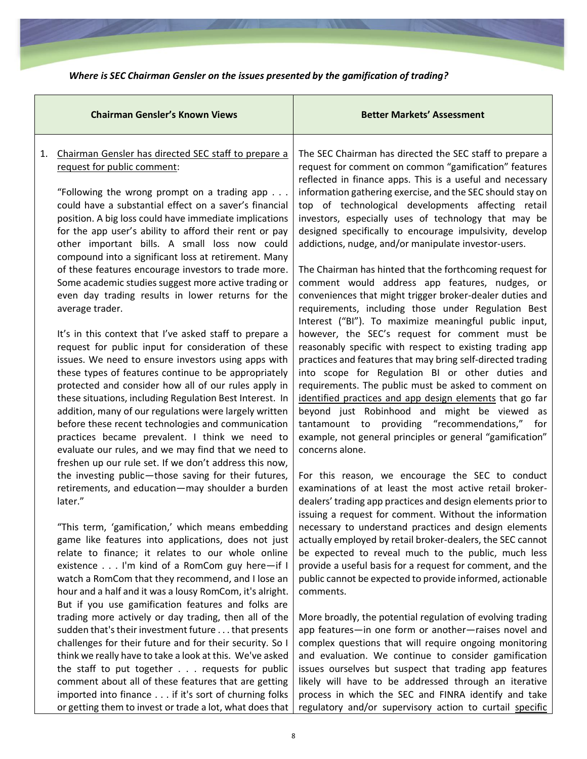|    | <b>Chairman Gensler's Known Views</b>                                                                                                                                                                                                                                                                                                                                                                                                                                                                                                                                                                                                                                                                                                         | <b>Better Markets' Assessment</b>                                                                                                                                                                                                                                                                                                                                                                                                                                                                                                                                                                                                                                                                                                                                                                                                                                                     |
|----|-----------------------------------------------------------------------------------------------------------------------------------------------------------------------------------------------------------------------------------------------------------------------------------------------------------------------------------------------------------------------------------------------------------------------------------------------------------------------------------------------------------------------------------------------------------------------------------------------------------------------------------------------------------------------------------------------------------------------------------------------|---------------------------------------------------------------------------------------------------------------------------------------------------------------------------------------------------------------------------------------------------------------------------------------------------------------------------------------------------------------------------------------------------------------------------------------------------------------------------------------------------------------------------------------------------------------------------------------------------------------------------------------------------------------------------------------------------------------------------------------------------------------------------------------------------------------------------------------------------------------------------------------|
| 1. | Chairman Gensler has directed SEC staff to prepare a<br>request for public comment:<br>"Following the wrong prompt on a trading app $\ldots$<br>could have a substantial effect on a saver's financial<br>position. A big loss could have immediate implications<br>for the app user's ability to afford their rent or pay<br>other important bills. A small loss now could<br>compound into a significant loss at retirement. Many<br>of these features encourage investors to trade more.<br>Some academic studies suggest more active trading or<br>even day trading results in lower returns for the<br>average trader.<br>It's in this context that I've asked staff to prepare a<br>request for public input for consideration of these | The SEC Chairman has directed the SEC staff to prepare a<br>request for comment on common "gamification" features<br>reflected in finance apps. This is a useful and necessary<br>information gathering exercise, and the SEC should stay on<br>top of technological developments affecting retail<br>investors, especially uses of technology that may be<br>designed specifically to encourage impulsivity, develop<br>addictions, nudge, and/or manipulate investor-users.<br>The Chairman has hinted that the forthcoming request for<br>comment would address app features, nudges, or<br>conveniences that might trigger broker-dealer duties and<br>requirements, including those under Regulation Best<br>Interest ("BI"). To maximize meaningful public input,<br>however, the SEC's request for comment must be<br>reasonably specific with respect to existing trading app |
|    | issues. We need to ensure investors using apps with<br>these types of features continue to be appropriately<br>protected and consider how all of our rules apply in<br>these situations, including Regulation Best Interest. In<br>addition, many of our regulations were largely written<br>before these recent technologies and communication<br>practices became prevalent. I think we need to<br>evaluate our rules, and we may find that we need to<br>freshen up our rule set. If we don't address this now,                                                                                                                                                                                                                            | practices and features that may bring self-directed trading<br>into scope for Regulation BI or other duties and<br>requirements. The public must be asked to comment on<br>identified practices and app design elements that go far<br>beyond just Robinhood and might be viewed as<br>tantamount to providing "recommendations," for<br>example, not general principles or general "gamification"<br>concerns alone.                                                                                                                                                                                                                                                                                                                                                                                                                                                                 |
|    | the investing public-those saving for their futures,<br>retirements, and education-may shoulder a burden<br>later."                                                                                                                                                                                                                                                                                                                                                                                                                                                                                                                                                                                                                           | For this reason, we encourage the SEC to conduct<br>examinations of at least the most active retail broker-<br>dealers' trading app practices and design elements prior to<br>issuing a request for comment. Without the information                                                                                                                                                                                                                                                                                                                                                                                                                                                                                                                                                                                                                                                  |
|    | "This term, 'gamification,' which means embedding<br>game like features into applications, does not just<br>relate to finance; it relates to our whole online<br>existence I'm kind of a RomCom guy here-if I<br>watch a RomCom that they recommend, and I lose an<br>hour and a half and it was a lousy RomCom, it's alright.<br>But if you use gamification features and folks are                                                                                                                                                                                                                                                                                                                                                          | necessary to understand practices and design elements<br>actually employed by retail broker-dealers, the SEC cannot<br>be expected to reveal much to the public, much less<br>provide a useful basis for a request for comment, and the<br>public cannot be expected to provide informed, actionable<br>comments.                                                                                                                                                                                                                                                                                                                                                                                                                                                                                                                                                                     |
|    | trading more actively or day trading, then all of the<br>sudden that's their investment future that presents<br>challenges for their future and for their security. So I<br>think we really have to take a look at this. We've asked<br>the staff to put together requests for public<br>comment about all of these features that are getting<br>imported into finance if it's sort of churning folks                                                                                                                                                                                                                                                                                                                                         | More broadly, the potential regulation of evolving trading<br>app features-in one form or another-raises novel and<br>complex questions that will require ongoing monitoring<br>and evaluation. We continue to consider gamification<br>issues ourselves but suspect that trading app features<br>likely will have to be addressed through an iterative<br>process in which the SEC and FINRA identify and take                                                                                                                                                                                                                                                                                                                                                                                                                                                                       |

or getting them to invest or trade a lot, what does that | regulatory and/or supervisory action to curtail specific